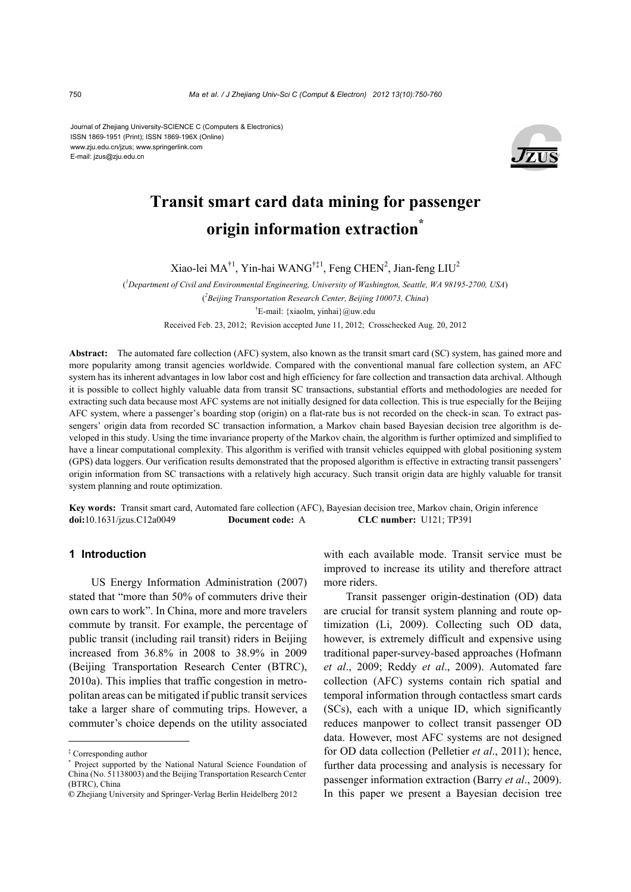Journal of Zhejiang University-SCIENCE C (Computers & Electronics) ISSN 1869-1951 (Print); ISSN 1869-196X (Online) www.zju.edu.cn/jzus; www.springerlink.com E-mail: jzus@zju.edu.cn



# **Transit smart card data mining for passenger origin information extraction\***

Xiao-lei MA<sup>†1</sup>, Yin-hai WANG<sup>†‡1</sup>, Feng CHEN<sup>2</sup>, Jian-feng LIU<sup>2</sup>

( *1 Department of Civil and Environmental Engineering, University of Washington, Seattle, WA 98195-2700, USA*)

( *2 Beijing Transportation Research Center, Beijing 100073, China*)

† E-mail: {xiaolm, yinhai}@uw.edu

Received Feb. 23, 2012; Revision accepted June 11, 2012; Crosschecked Aug. 20, 2012

**Abstract:** The automated fare collection (AFC) system, also known as the transit smart card (SC) system, has gained more and more popularity among transit agencies worldwide. Compared with the conventional manual fare collection system, an AFC system has its inherent advantages in low labor cost and high efficiency for fare collection and transaction data archival. Although it is possible to collect highly valuable data from transit SC transactions, substantial efforts and methodologies are needed for extracting such data because most AFC systems are not initially designed for data collection. This is true especially for the Beijing AFC system, where a passenger's boarding stop (origin) on a flat-rate bus is not recorded on the check-in scan. To extract passengers' origin data from recorded SC transaction information, a Markov chain based Bayesian decision tree algorithm is developed in this study. Using the time invariance property of the Markov chain, the algorithm is further optimized and simplified to have a linear computational complexity. This algorithm is verified with transit vehicles equipped with global positioning system (GPS) data loggers. Our verification results demonstrated that the proposed algorithm is effective in extracting transit passengers' origin information from SC transactions with a relatively high accuracy. Such transit origin data are highly valuable for transit system planning and route optimization.

**Key words:** Transit smart card, Automated fare collection (AFC), Bayesian decision tree, Markov chain, Origin inference **doi:**10.1631/jzus.C12a0049 **Document code:** A **CLC number:** U121; TP391

# **1 Introduction**

US Energy Information Administration (2007) stated that "more than 50% of commuters drive their own cars to work". In China, more and more travelers commute by transit. For example, the percentage of public transit (including rail transit) riders in Beijing increased from 36.8% in 2008 to 38.9% in 2009 (Beijing Transportation Research Center (BTRC), 2010a). This implies that traffic congestion in metropolitan areas can be mitigated if public transit services take a larger share of commuting trips. However, a commuter's choice depends on the utility associated with each available mode. Transit service must be improved to increase its utility and therefore attract more riders.

Transit passenger origin-destination (OD) data are crucial for transit system planning and route optimization (Li, 2009). Collecting such OD data, however, is extremely difficult and expensive using traditional paper-survey-based approaches (Hofmann *et al*., 2009; Reddy *et al*., 2009). Automated fare collection (AFC) systems contain rich spatial and temporal information through contactless smart cards (SCs), each with a unique ID, which significantly reduces manpower to collect transit passenger OD data. However, most AFC systems are not designed for OD data collection (Pelletier *et al*., 2011); hence, further data processing and analysis is necessary for passenger information extraction (Barry *et al*., 2009). In this paper we present a Bayesian decision tree

<sup>‡</sup> Corresponding author

<sup>\*</sup> Project supported by the National Natural Science Foundation of China (No. 51138003) and the Beijing Transportation Research Center (BTRC), China

**<sup>©</sup>** Zhejiang University and Springer-Verlag Berlin Heidelberg 2012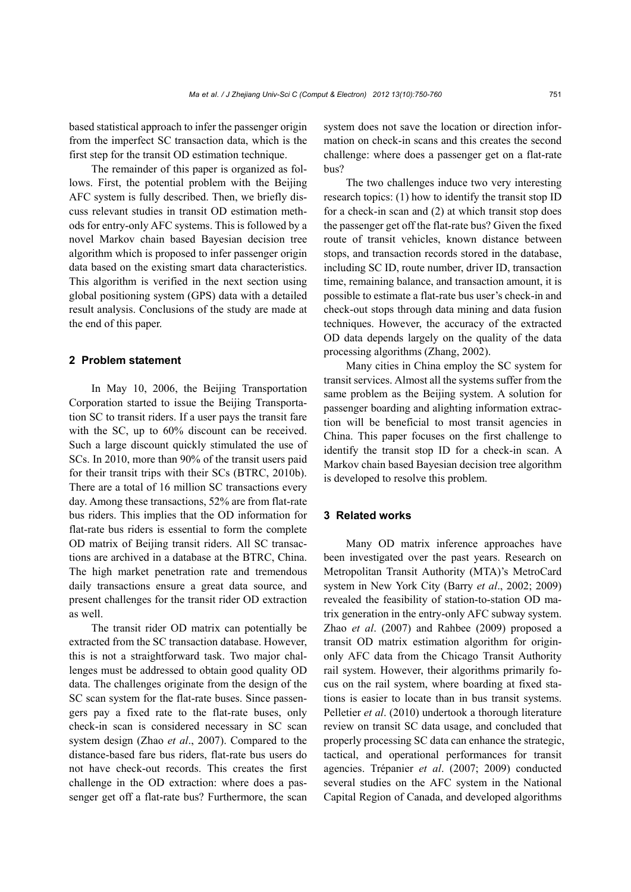based statistical approach to infer the passenger origin from the imperfect SC transaction data, which is the first step for the transit OD estimation technique.

The remainder of this paper is organized as follows. First, the potential problem with the Beijing AFC system is fully described. Then, we briefly discuss relevant studies in transit OD estimation methods for entry-only AFC systems. This is followed by a novel Markov chain based Bayesian decision tree algorithm which is proposed to infer passenger origin data based on the existing smart data characteristics. This algorithm is verified in the next section using global positioning system (GPS) data with a detailed result analysis. Conclusions of the study are made at the end of this paper.

# **2 Problem statement**

In May 10, 2006, the Beijing Transportation Corporation started to issue the Beijing Transportation SC to transit riders. If a user pays the transit fare with the SC, up to 60% discount can be received. Such a large discount quickly stimulated the use of SCs. In 2010, more than 90% of the transit users paid for their transit trips with their SCs (BTRC, 2010b). There are a total of 16 million SC transactions every day. Among these transactions, 52% are from flat-rate bus riders. This implies that the OD information for flat-rate bus riders is essential to form the complete OD matrix of Beijing transit riders. All SC transactions are archived in a database at the BTRC, China. The high market penetration rate and tremendous daily transactions ensure a great data source, and present challenges for the transit rider OD extraction as well.

The transit rider OD matrix can potentially be extracted from the SC transaction database. However, this is not a straightforward task. Two major challenges must be addressed to obtain good quality OD data. The challenges originate from the design of the SC scan system for the flat-rate buses. Since passengers pay a fixed rate to the flat-rate buses, only check-in scan is considered necessary in SC scan system design (Zhao *et al*., 2007). Compared to the distance-based fare bus riders, flat-rate bus users do not have check-out records. This creates the first challenge in the OD extraction: where does a passenger get off a flat-rate bus? Furthermore, the scan

system does not save the location or direction information on check-in scans and this creates the second challenge: where does a passenger get on a flat-rate bus?

The two challenges induce two very interesting research topics: (1) how to identify the transit stop ID for a check-in scan and (2) at which transit stop does the passenger get off the flat-rate bus? Given the fixed route of transit vehicles, known distance between stops, and transaction records stored in the database, including SC ID, route number, driver ID, transaction time, remaining balance, and transaction amount, it is possible to estimate a flat-rate bus user's check-in and check-out stops through data mining and data fusion techniques. However, the accuracy of the extracted OD data depends largely on the quality of the data processing algorithms (Zhang, 2002).

Many cities in China employ the SC system for transit services. Almost all the systems suffer from the same problem as the Beijing system. A solution for passenger boarding and alighting information extraction will be beneficial to most transit agencies in China. This paper focuses on the first challenge to identify the transit stop ID for a check-in scan. A Markov chain based Bayesian decision tree algorithm is developed to resolve this problem.

# **3 Related works**

Many OD matrix inference approaches have been investigated over the past years. Research on Metropolitan Transit Authority (MTA)'s MetroCard system in New York City (Barry *et al*., 2002; 2009) revealed the feasibility of station-to-station OD matrix generation in the entry-only AFC subway system. Zhao *et al*. (2007) and Rahbee (2009) proposed a transit OD matrix estimation algorithm for originonly AFC data from the Chicago Transit Authority rail system. However, their algorithms primarily focus on the rail system, where boarding at fixed stations is easier to locate than in bus transit systems. Pelletier *et al*. (2010) undertook a thorough literature review on transit SC data usage, and concluded that properly processing SC data can enhance the strategic, tactical, and operational performances for transit agencies. Trépanier *et al*. (2007; 2009) conducted several studies on the AFC system in the National Capital Region of Canada, and developed algorithms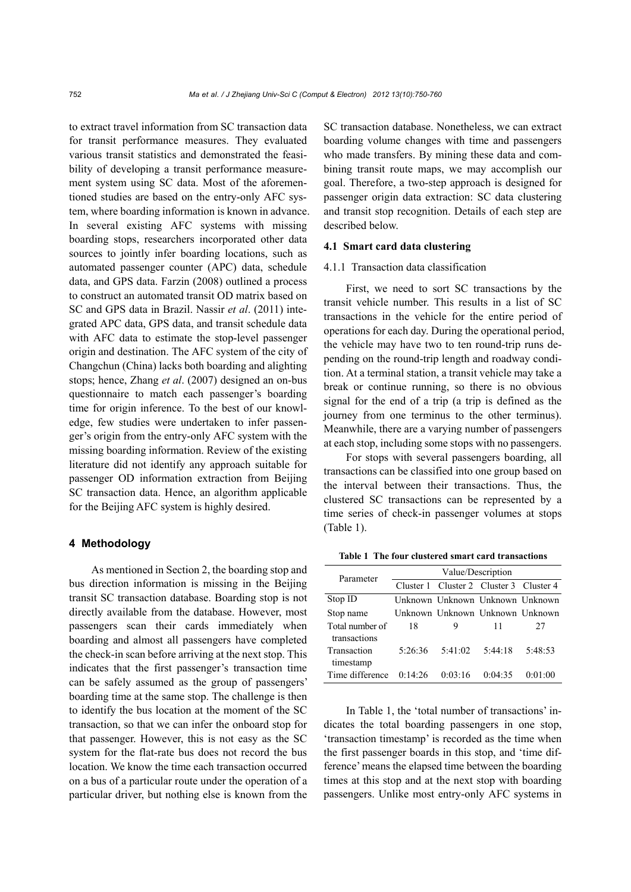to extract travel information from SC transaction data for transit performance measures. They evaluated various transit statistics and demonstrated the feasibility of developing a transit performance measurement system using SC data. Most of the aforementioned studies are based on the entry-only AFC system, where boarding information is known in advance. In several existing AFC systems with missing boarding stops, researchers incorporated other data sources to jointly infer boarding locations, such as automated passenger counter (APC) data, schedule data, and GPS data. Farzin (2008) outlined a process to construct an automated transit OD matrix based on SC and GPS data in Brazil. Nassir *et al*. (2011) integrated APC data, GPS data, and transit schedule data with AFC data to estimate the stop-level passenger origin and destination. The AFC system of the city of Changchun (China) lacks both boarding and alighting stops; hence, Zhang *et al*. (2007) designed an on-bus questionnaire to match each passenger's boarding time for origin inference. To the best of our knowledge, few studies were undertaken to infer passenger's origin from the entry-only AFC system with the missing boarding information. Review of the existing literature did not identify any approach suitable for passenger OD information extraction from Beijing SC transaction data. Hence, an algorithm applicable for the Beijing AFC system is highly desired.

# **4 Methodology**

As mentioned in Section 2, the boarding stop and bus direction information is missing in the Beijing transit SC transaction database. Boarding stop is not directly available from the database. However, most passengers scan their cards immediately when boarding and almost all passengers have completed the check-in scan before arriving at the next stop. This indicates that the first passenger's transaction time can be safely assumed as the group of passengers' boarding time at the same stop. The challenge is then to identify the bus location at the moment of the SC transaction, so that we can infer the onboard stop for that passenger. However, this is not easy as the SC system for the flat-rate bus does not record the bus location. We know the time each transaction occurred on a bus of a particular route under the operation of a particular driver, but nothing else is known from the SC transaction database. Nonetheless, we can extract boarding volume changes with time and passengers who made transfers. By mining these data and combining transit route maps, we may accomplish our goal. Therefore, a two-step approach is designed for passenger origin data extraction: SC data clustering and transit stop recognition. Details of each step are described below.

## **4.1 Smart card data clustering**

### 4.1.1 Transaction data classification

First, we need to sort SC transactions by the transit vehicle number. This results in a list of SC transactions in the vehicle for the entire period of operations for each day. During the operational period, the vehicle may have two to ten round-trip runs depending on the round-trip length and roadway condition. At a terminal station, a transit vehicle may take a break or continue running, so there is no obvious signal for the end of a trip (a trip is defined as the journey from one terminus to the other terminus). Meanwhile, there are a varying number of passengers at each stop, including some stops with no passengers.

For stops with several passengers boarding, all transactions can be classified into one group based on the interval between their transactions. Thus, the clustered SC transactions can be represented by a time series of check-in passenger volumes at stops (Table 1).

**Table 1 The four clustered smart card transactions** 

| Parameter                       | Value/Description |                                         |         |         |  |
|---------------------------------|-------------------|-----------------------------------------|---------|---------|--|
|                                 |                   | Cluster 1 Cluster 2 Cluster 3 Cluster 4 |         |         |  |
| Stop ID                         |                   | Unknown Unknown Unknown Unknown         |         |         |  |
| Stop name                       |                   | Unknown Unknown Unknown Unknown         |         |         |  |
| Total number of<br>transactions | 18                | 9                                       | 11      | 27      |  |
| Transaction<br>timestamp        | 5:26:36           | 5:41:02                                 | 5:44:18 | 5:48:53 |  |
| Time difference                 | 0.14.26           | 0.03.16                                 | 0.04.35 | 0:01:00 |  |

In Table 1, the 'total number of transactions' indicates the total boarding passengers in one stop, 'transaction timestamp' is recorded as the time when the first passenger boards in this stop, and 'time difference' means the elapsed time between the boarding times at this stop and at the next stop with boarding passengers. Unlike most entry-only AFC systems in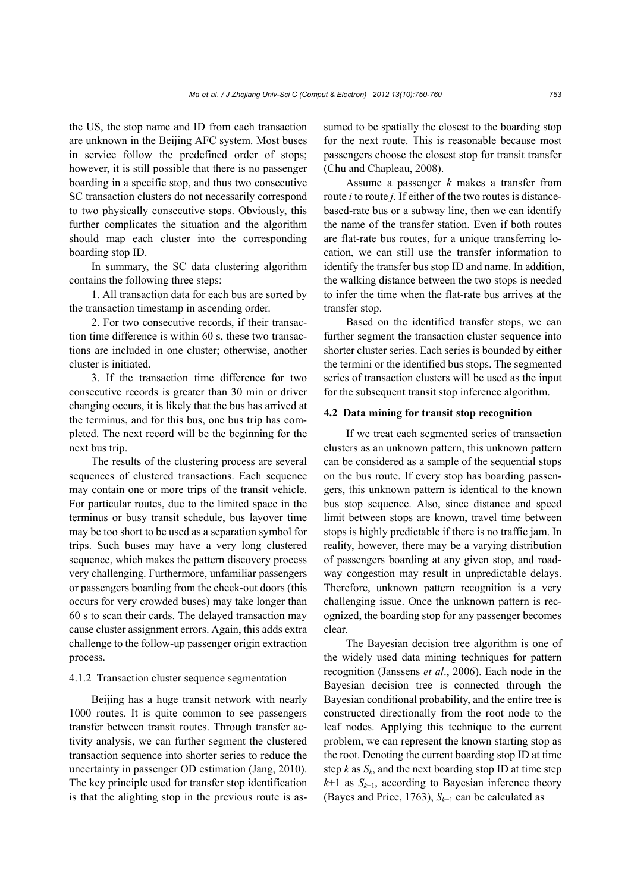the US, the stop name and ID from each transaction are unknown in the Beijing AFC system. Most buses in service follow the predefined order of stops; however, it is still possible that there is no passenger boarding in a specific stop, and thus two consecutive SC transaction clusters do not necessarily correspond to two physically consecutive stops. Obviously, this further complicates the situation and the algorithm should map each cluster into the corresponding boarding stop ID.

In summary, the SC data clustering algorithm contains the following three steps:

1. All transaction data for each bus are sorted by the transaction timestamp in ascending order.

2. For two consecutive records, if their transaction time difference is within 60 s, these two transactions are included in one cluster; otherwise, another cluster is initiated.

3. If the transaction time difference for two consecutive records is greater than 30 min or driver changing occurs, it is likely that the bus has arrived at the terminus, and for this bus, one bus trip has completed. The next record will be the beginning for the next bus trip.

The results of the clustering process are several sequences of clustered transactions. Each sequence may contain one or more trips of the transit vehicle. For particular routes, due to the limited space in the terminus or busy transit schedule, bus layover time may be too short to be used as a separation symbol for trips. Such buses may have a very long clustered sequence, which makes the pattern discovery process very challenging. Furthermore, unfamiliar passengers or passengers boarding from the check-out doors (this occurs for very crowded buses) may take longer than 60 s to scan their cards. The delayed transaction may cause cluster assignment errors. Again, this adds extra challenge to the follow-up passenger origin extraction process.

## 4.1.2 Transaction cluster sequence segmentation

Beijing has a huge transit network with nearly 1000 routes. It is quite common to see passengers transfer between transit routes. Through transfer activity analysis, we can further segment the clustered transaction sequence into shorter series to reduce the uncertainty in passenger OD estimation (Jang, 2010). The key principle used for transfer stop identification is that the alighting stop in the previous route is assumed to be spatially the closest to the boarding stop for the next route. This is reasonable because most passengers choose the closest stop for transit transfer (Chu and Chapleau, 2008).

Assume a passenger *k* makes a transfer from route *i* to route *j*. If either of the two routes is distancebased-rate bus or a subway line, then we can identify the name of the transfer station. Even if both routes are flat-rate bus routes, for a unique transferring location, we can still use the transfer information to identify the transfer bus stop ID and name. In addition, the walking distance between the two stops is needed to infer the time when the flat-rate bus arrives at the transfer stop.

Based on the identified transfer stops, we can further segment the transaction cluster sequence into shorter cluster series. Each series is bounded by either the termini or the identified bus stops. The segmented series of transaction clusters will be used as the input for the subsequent transit stop inference algorithm.

# **4.2 Data mining for transit stop recognition**

If we treat each segmented series of transaction clusters as an unknown pattern, this unknown pattern can be considered as a sample of the sequential stops on the bus route. If every stop has boarding passengers, this unknown pattern is identical to the known bus stop sequence. Also, since distance and speed limit between stops are known, travel time between stops is highly predictable if there is no traffic jam. In reality, however, there may be a varying distribution of passengers boarding at any given stop, and roadway congestion may result in unpredictable delays. Therefore, unknown pattern recognition is a very challenging issue. Once the unknown pattern is recognized, the boarding stop for any passenger becomes clear.

The Bayesian decision tree algorithm is one of the widely used data mining techniques for pattern recognition (Janssens *et al*., 2006). Each node in the Bayesian decision tree is connected through the Bayesian conditional probability, and the entire tree is constructed directionally from the root node to the leaf nodes. Applying this technique to the current problem, we can represent the known starting stop as the root. Denoting the current boarding stop ID at time step  $k$  as  $S_k$ , and the next boarding stop ID at time step  $k+1$  as  $S_{k+1}$ , according to Bayesian inference theory (Bayes and Price, 1763),  $S_{k+1}$  can be calculated as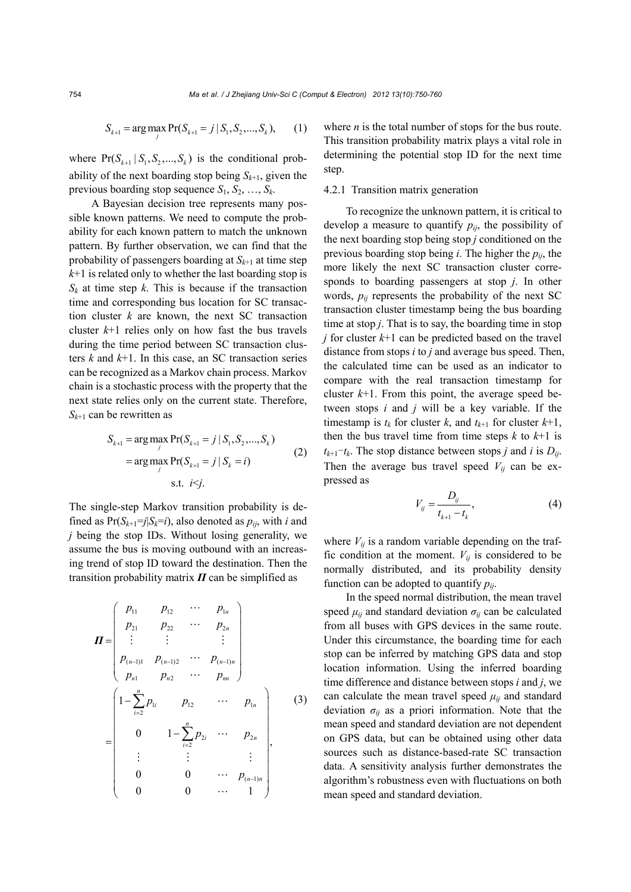$$
S_{k+1} = \arg\max_{j} \Pr(S_{k+1} = j \mid S_1, S_2, ..., S_k), \tag{1}
$$

where  $Pr(S_{k+1} | S_1, S_2, ..., S_k)$  is the conditional probability of the next boarding stop being  $S_{k+1}$ , given the previous boarding stop sequence  $S_1, S_2, ..., S_k$ .

A Bayesian decision tree represents many possible known patterns. We need to compute the probability for each known pattern to match the unknown pattern. By further observation, we can find that the probability of passengers boarding at *Sk*+1 at time step  $k+1$  is related only to whether the last boarding stop is  $S_k$  at time step *k*. This is because if the transaction time and corresponding bus location for SC transaction cluster *k* are known, the next SC transaction cluster  $k+1$  relies only on how fast the bus travels during the time period between SC transaction clusters *k* and *k*+1. In this case, an SC transaction series can be recognized as a Markov chain process. Markov chain is a stochastic process with the property that the next state relies only on the current state. Therefore,  $S_{k+1}$  can be rewritten as

$$
S_{k+1} = \arg \max_{j} \Pr(S_{k+1} = j | S_1, S_2, ..., S_k)
$$
  
= 
$$
\arg \max_{j} \Pr(S_{k+1} = j | S_k = i)
$$
 (2)  
s.t.  $i < j$ .

The single-step Markov transition probability is defined as  $Pr(S_{k+1} = j | S_k = i)$ , also denoted as  $p_{ij}$ , with *i* and *j* being the stop IDs. Without losing generality, we assume the bus is moving outbound with an increasing trend of stop ID toward the destination. Then the transition probability matrix *Π* can be simplified as

$$
\mathbf{\Pi} = \begin{pmatrix} p_{11} & p_{12} & \cdots & p_{1n} \\ p_{21} & p_{22} & \cdots & p_{2n} \\ \vdots & \vdots & & \vdots \\ p_{(n-1)1} & p_{(n-1)2} & \cdots & p_{(n-1)n} \\ p_{n1} & p_{n2} & \cdots & p_{nn} \end{pmatrix}
$$

$$
= \begin{pmatrix} 1 - \sum_{i=2}^{n} p_{1i} & p_{12} & \cdots & p_{1n} \\ 0 & 1 - \sum_{i=2}^{n} p_{2i} & \cdots & p_{2n} \\ \vdots & \vdots & & \vdots \\ 0 & 0 & \cdots & p_{(n-1)n} \\ 0 & 0 & \cdots & 1 \end{pmatrix},
$$
(3)

where *n* is the total number of stops for the bus route. This transition probability matrix plays a vital role in determining the potential stop ID for the next time step.

# 4.2.1 Transition matrix generation

To recognize the unknown pattern, it is critical to develop a measure to quantify  $p_{ij}$ , the possibility of the next boarding stop being stop *j* conditioned on the previous boarding stop being *i*. The higher the  $p_{ij}$ , the more likely the next SC transaction cluster corresponds to boarding passengers at stop *j*. In other words,  $p_{ii}$  represents the probability of the next SC transaction cluster timestamp being the bus boarding time at stop *j*. That is to say, the boarding time in stop *j* for cluster *k*+1 can be predicted based on the travel distance from stops *i* to *j* and average bus speed. Then, the calculated time can be used as an indicator to compare with the real transaction timestamp for cluster *k*+1. From this point, the average speed between stops *i* and *j* will be a key variable. If the timestamp is  $t_k$  for cluster  $k$ , and  $t_{k+1}$  for cluster  $k+1$ , then the bus travel time from time steps  $k$  to  $k+1$  is  $t_{k+1}-t_k$ . The stop distance between stops *j* and *i* is  $D_{ij}$ . Then the average bus travel speed  $V_{ij}$  can be expressed as

$$
V_{ij} = \frac{D_{ij}}{t_{k+1} - t_k},
$$
\n(4)

where  $V_{ij}$  is a random variable depending on the traffic condition at the moment.  $V_{ij}$  is considered to be normally distributed, and its probability density function can be adopted to quantify  $p_{ij}$ .

In the speed normal distribution, the mean travel speed  $\mu_{ij}$  and standard deviation  $\sigma_{ij}$  can be calculated from all buses with GPS devices in the same route. Under this circumstance, the boarding time for each stop can be inferred by matching GPS data and stop location information. Using the inferred boarding time difference and distance between stops *i* and *j*, we can calculate the mean travel speed  $\mu_{ij}$  and standard deviation  $\sigma_{ij}$  as a priori information. Note that the mean speed and standard deviation are not dependent on GPS data, but can be obtained using other data sources such as distance-based-rate SC transaction data. A sensitivity analysis further demonstrates the algorithm's robustness even with fluctuations on both mean speed and standard deviation.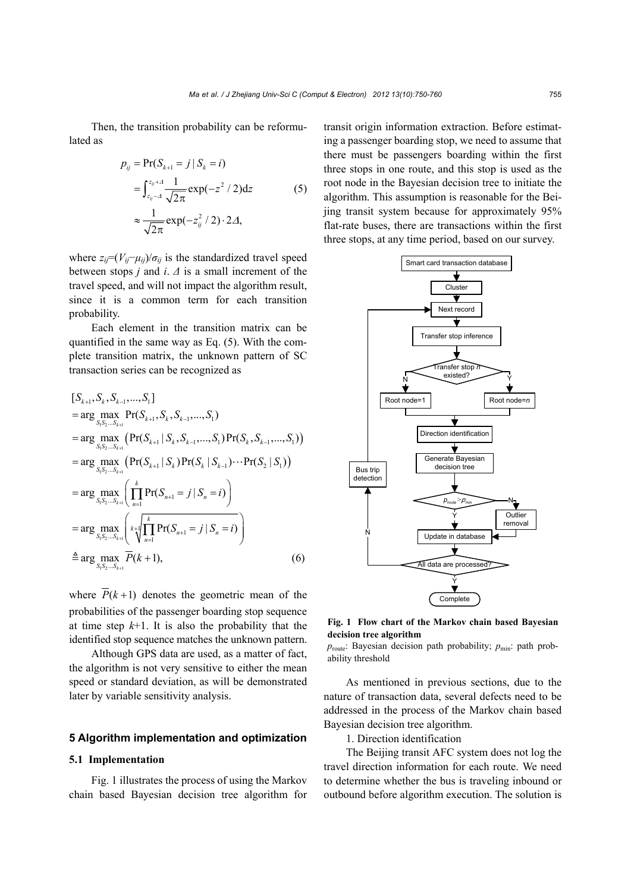Then, the transition probability can be reformulated as

$$
p_{ij} = Pr(S_{k+1} = j | S_k = i)
$$
  
=  $\int_{z_{ij}-A}^{z_{ij}+A} \frac{1}{\sqrt{2\pi}} exp(-z^2 / 2) dz$  (5)  
 $\approx \frac{1}{\sqrt{2\pi}} exp(-z_{ij}^2 / 2) \cdot 2A,$ 

where  $z_{ij}=(V_{ij}-\mu_{ij})/\sigma_{ij}$  is the standardized travel speed between stops *j* and *i*. *Δ* is a small increment of the travel speed, and will not impact the algorithm result, since it is a common term for each transition probability.

Each element in the transition matrix can be quantified in the same way as Eq. (5). With the complete transition matrix, the unknown pattern of SC transaction series can be recognized as

$$
[S_{k+1}, S_k, S_{k-1},..., S_1]
$$
  
\n= arg max<sub>S<sub>1</sub>S<sub>2</sub>...S<sub>k+1</sub></sub>  $\big(Pr(S_{k+1}, S_k, S_{k-1},..., S_1)$   
\n= arg max<sub>S<sub>1</sub>S<sub>2</sub>...S<sub>k+1</sub></sub>  $(Pr(S_{k+1} | S_k, S_{k-1},..., S_1) Pr(S_k, S_{k-1},..., S_1))$   
\n= arg max<sub>S<sub>1</sub>S<sub>2</sub>...S<sub>k+1</sub></sub>  $(Pr(S_{k+1} | S_k) Pr(S_k | S_{k-1}) \cdots Pr(S_2 | S_1))$   
\n= arg max<sub>S<sub>1</sub>S<sub>2</sub>...S<sub>k+1</sub></sub>  $\bigg( \prod_{n=1}^{k} Pr(S_{n+1} = j | S_n = i) \bigg)$   
\n= arg max<sub>S<sub>1</sub>S<sub>2</sub>...S<sub>k+1</sub></sub>  $\bigg( \prod_{n=1}^{k} Pr(S_{n+1} = j | S_n = i) \bigg)$   
\n $\triangleq$  arg max<sub>S<sub>1</sub>S<sub>2</sub>...S<sub>k+1</sub></sub>  $\overline{P}(k + 1),$  (6)

where  $\overline{P}(k+1)$  denotes the geometric mean of the probabilities of the passenger boarding stop sequence at time step  $k+1$ . It is also the probability that the identified stop sequence matches the unknown pattern.

Although GPS data are used, as a matter of fact, the algorithm is not very sensitive to either the mean speed or standard deviation, as will be demonstrated later by variable sensitivity analysis.

# **5 Algorithm implementation and optimization**

# **5.1 Implementation**

Fig. 1 illustrates the process of using the Markov chain based Bayesian decision tree algorithm for

transit origin information extraction. Before estimating a passenger boarding stop, we need to assume that there must be passengers boarding within the first three stops in one route, and this stop is used as the root node in the Bayesian decision tree to initiate the algorithm. This assumption is reasonable for the Beijing transit system because for approximately 95% flat-rate buses, there are transactions within the first three stops, at any time period, based on our survey.



**Fig. 1 Flow chart of the Markov chain based Bayesian decision tree algorithm** 

 $p_{\text{route}}$ : Bayesian decision path probability;  $p_{\text{min}}$ : path probability threshold

As mentioned in previous sections, due to the nature of transaction data, several defects need to be addressed in the process of the Markov chain based Bayesian decision tree algorithm.

1. Direction identification

The Beijing transit AFC system does not log the travel direction information for each route. We need to determine whether the bus is traveling inbound or outbound before algorithm execution. The solution is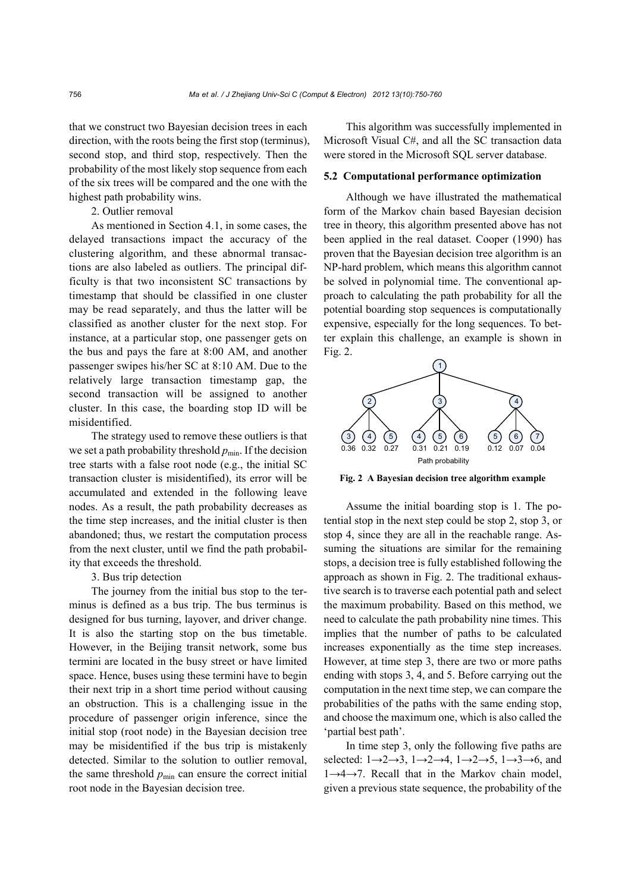that we construct two Bayesian decision trees in each direction, with the roots being the first stop (terminus), second stop, and third stop, respectively. Then the probability of the most likely stop sequence from each of the six trees will be compared and the one with the highest path probability wins.

2. Outlier removal

As mentioned in Section 4.1, in some cases, the delayed transactions impact the accuracy of the clustering algorithm, and these abnormal transactions are also labeled as outliers. The principal difficulty is that two inconsistent SC transactions by timestamp that should be classified in one cluster may be read separately, and thus the latter will be classified as another cluster for the next stop. For instance, at a particular stop, one passenger gets on the bus and pays the fare at 8:00 AM, and another passenger swipes his/her SC at 8:10 AM. Due to the relatively large transaction timestamp gap, the second transaction will be assigned to another cluster. In this case, the boarding stop ID will be misidentified.

The strategy used to remove these outliers is that we set a path probability threshold  $p_{\text{min}}$ . If the decision tree starts with a false root node (e.g., the initial SC transaction cluster is misidentified), its error will be accumulated and extended in the following leave nodes. As a result, the path probability decreases as the time step increases, and the initial cluster is then abandoned; thus, we restart the computation process from the next cluster, until we find the path probability that exceeds the threshold.

#### 3. Bus trip detection

The journey from the initial bus stop to the terminus is defined as a bus trip. The bus terminus is designed for bus turning, layover, and driver change. It is also the starting stop on the bus timetable. However, in the Beijing transit network, some bus termini are located in the busy street or have limited space. Hence, buses using these termini have to begin their next trip in a short time period without causing an obstruction. This is a challenging issue in the procedure of passenger origin inference, since the initial stop (root node) in the Bayesian decision tree may be misidentified if the bus trip is mistakenly detected. Similar to the solution to outlier removal, the same threshold  $p_{\text{min}}$  can ensure the correct initial root node in the Bayesian decision tree.

This algorithm was successfully implemented in Microsoft Visual C#, and all the SC transaction data were stored in the Microsoft SQL server database.

#### **5.2 Computational performance optimization**

Although we have illustrated the mathematical form of the Markov chain based Bayesian decision tree in theory, this algorithm presented above has not been applied in the real dataset. Cooper (1990) has proven that the Bayesian decision tree algorithm is an NP-hard problem, which means this algorithm cannot be solved in polynomial time. The conventional approach to calculating the path probability for all the potential boarding stop sequences is computationally expensive, especially for the long sequences. To better explain this challenge, an example is shown in Fig. 2.



**Fig. 2 A Bayesian decision tree algorithm example** 

Assume the initial boarding stop is 1. The potential stop in the next step could be stop 2, stop 3, or stop 4, since they are all in the reachable range. Assuming the situations are similar for the remaining stops, a decision tree is fully established following the approach as shown in Fig. 2. The traditional exhaustive search is to traverse each potential path and select the maximum probability. Based on this method, we need to calculate the path probability nine times. This implies that the number of paths to be calculated increases exponentially as the time step increases. However, at time step 3, there are two or more paths ending with stops 3, 4, and 5. Before carrying out the computation in the next time step, we can compare the probabilities of the paths with the same ending stop, and choose the maximum one, which is also called the 'partial best path'.

In time step 3, only the following five paths are selected:  $1\rightarrow 2\rightarrow 3$ ,  $1\rightarrow 2\rightarrow 4$ ,  $1\rightarrow 2\rightarrow 5$ ,  $1\rightarrow 3\rightarrow 6$ , and 1→4→7. Recall that in the Markov chain model, given a previous state sequence, the probability of the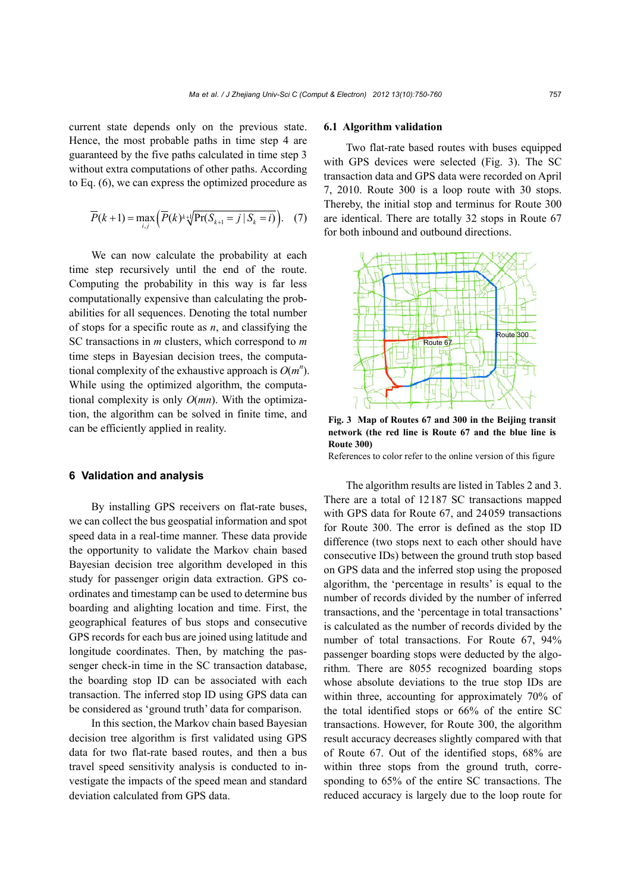current state depends only on the previous state. Hence, the most probable paths in time step 4 are guaranteed by the five paths calculated in time step 3 without extra computations of other paths. According to Eq. (6), we can express the optimized procedure as

$$
\overline{P}(k+1) = \max_{i,j} \left( \overline{P}(k)^k \sqrt[4]{\Pr(S_{k+1} = j \mid S_k = i)} \right). \quad (7)
$$

We can now calculate the probability at each time step recursively until the end of the route. Computing the probability in this way is far less computationally expensive than calculating the probabilities for all sequences. Denoting the total number of stops for a specific route as *n*, and classifying the SC transactions in *m* clusters, which correspond to *m* time steps in Bayesian decision trees, the computational complexity of the exhaustive approach is  $O(m^n)$ . While using the optimized algorithm, the computational complexity is only *O*(*mn*). With the optimization, the algorithm can be solved in finite time, and can be efficiently applied in reality.

## **6 Validation and analysis**

By installing GPS receivers on flat-rate buses, we can collect the bus geospatial information and spot speed data in a real-time manner. These data provide the opportunity to validate the Markov chain based Bayesian decision tree algorithm developed in this study for passenger origin data extraction. GPS coordinates and timestamp can be used to determine bus boarding and alighting location and time. First, the geographical features of bus stops and consecutive GPS records for each bus are joined using latitude and longitude coordinates. Then, by matching the passenger check-in time in the SC transaction database, the boarding stop ID can be associated with each transaction. The inferred stop ID using GPS data can be considered as 'ground truth' data for comparison.

In this section, the Markov chain based Bayesian decision tree algorithm is first validated using GPS data for two flat-rate based routes, and then a bus travel speed sensitivity analysis is conducted to investigate the impacts of the speed mean and standard deviation calculated from GPS data.

#### **6.1 Algorithm validation**

Two flat-rate based routes with buses equipped with GPS devices were selected (Fig. 3). The SC transaction data and GPS data were recorded on April 7, 2010. Route 300 is a loop route with 30 stops. Thereby, the initial stop and terminus for Route 300 are identical. There are totally 32 stops in Route 67 for both inbound and outbound directions.



**Fig. 3 Map of Routes 67 and 300 in the Beijing transit network (the red line is Route 67 and the blue line is Route 300)** 

References to color refer to the online version of this figure

The algorithm results are listed in Tables 2 and 3. There are a total of 12187 SC transactions mapped with GPS data for Route 67, and 24059 transactions for Route 300. The error is defined as the stop ID difference (two stops next to each other should have consecutive IDs) between the ground truth stop based on GPS data and the inferred stop using the proposed algorithm, the 'percentage in results' is equal to the number of records divided by the number of inferred transactions, and the 'percentage in total transactions' is calculated as the number of records divided by the number of total transactions. For Route 67, 94% passenger boarding stops were deducted by the algorithm. There are 8055 recognized boarding stops whose absolute deviations to the true stop IDs are within three, accounting for approximately 70% of the total identified stops or 66% of the entire SC transactions. However, for Route 300, the algorithm result accuracy decreases slightly compared with that of Route 67. Out of the identified stops, 68% are within three stops from the ground truth, corresponding to 65% of the entire SC transactions. The reduced accuracy is largely due to the loop route for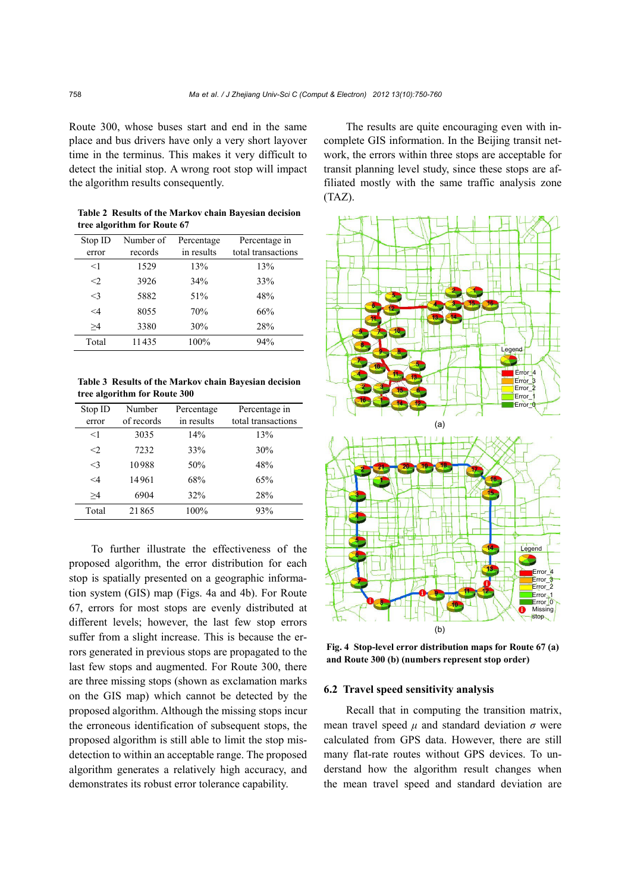Route 300, whose buses start and end in the same place and bus drivers have only a very short layover time in the terminus. This makes it very difficult to detect the initial stop. A wrong root stop will impact the algorithm results consequently.

**Table 2 Results of the Markov chain Bayesian decision tree algorithm for Route 67** 

| Stop ID   | Number of | Percentage | Percentage in      |
|-----------|-----------|------------|--------------------|
| error     | records   | in results | total transactions |
| <1        | 1529      | 13%        | 13%                |
| $\langle$ | 3926      | 34%        | 33%                |
| $\leq$ 3  | 5882      | 51%        | 48%                |
| $\leq 4$  | 8055      | 70%        | 66%                |
| >4        | 3380      | 30%        | 28%                |
| Total     | 11435     | 100%       | 94%                |

**Table 3 Results of the Markov chain Bayesian decision tree algorithm for Route 300** 

| Stop ID<br>error | Number<br>of records | Percentage<br>in results | Percentage in<br>total transactions |
|------------------|----------------------|--------------------------|-------------------------------------|
| <1               | 3035                 | 14%                      | 13%                                 |
| $\langle$        | 7232                 | 33%                      | 30%                                 |
| $\leq$ 3         | 10988                | 50%                      | 48%                                 |
| $\leq 4$         | 14961                | 68%                      | 65%                                 |
| >4               | 6904                 | 32%                      | 28%                                 |
| Total            | 21865                | 100%                     | 93%                                 |

To further illustrate the effectiveness of the proposed algorithm, the error distribution for each stop is spatially presented on a geographic information system (GIS) map (Figs. 4a and 4b). For Route 67, errors for most stops are evenly distributed at different levels; however, the last few stop errors suffer from a slight increase. This is because the errors generated in previous stops are propagated to the last few stops and augmented. For Route 300, there are three missing stops (shown as exclamation marks on the GIS map) which cannot be detected by the proposed algorithm. Although the missing stops incur the erroneous identification of subsequent stops, the proposed algorithm is still able to limit the stop misdetection to within an acceptable range. The proposed algorithm generates a relatively high accuracy, and demonstrates its robust error tolerance capability.

The results are quite encouraging even with incomplete GIS information. In the Beijing transit network, the errors within three stops are acceptable for transit planning level study, since these stops are affiliated mostly with the same traffic analysis zone (TAZ).



**Fig. 4 Stop-level error distribution maps for Route 67 (a) and Route 300 (b) (numbers represent stop order)** 

# **6.2 Travel speed sensitivity analysis**

Recall that in computing the transition matrix, mean travel speed *μ* and standard deviation *σ* were calculated from GPS data. However, there are still many flat-rate routes without GPS devices. To understand how the algorithm result changes when the mean travel speed and standard deviation are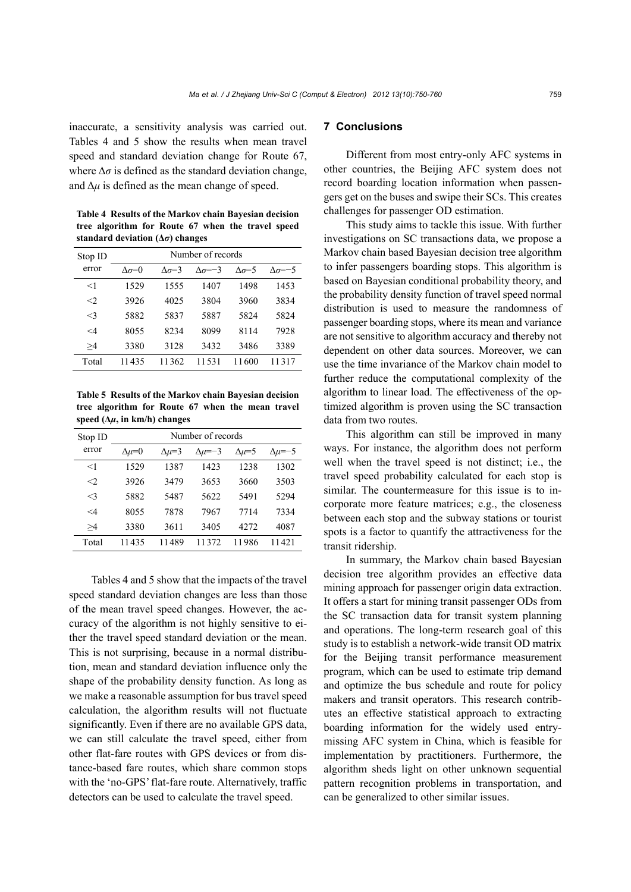inaccurate, a sensitivity analysis was carried out. Tables 4 and 5 show the results when mean travel speed and standard deviation change for Route 67, where  $\Delta \sigma$  is defined as the standard deviation change, and  $\Delta \mu$  is defined as the mean change of speed.

**Table 4 Results of the Markov chain Bayesian decision tree algorithm for Route 67 when the travel speed standard deviation (Δ***σ***) changes** 

| Stop ID  | Number of records   |                      |                                                                       |                     |                      |
|----------|---------------------|----------------------|-----------------------------------------------------------------------|---------------------|----------------------|
| error    | $\Delta \sigma = 0$ | $\Lambda \sigma = 3$ | $\Lambda$ <sub><math>\sigma</math><math>=</math><math>-3</math></sub> | $\Delta \sigma = 5$ | $\Delta \sigma = -5$ |
| $<$ 1    | 1529                | 1555                 | 1407                                                                  | 1498                | 1453                 |
| $\leq$ 2 | 3926                | 4025                 | 3804                                                                  | 3960                | 3834                 |
| $\leq$ 3 | 5882                | 5837                 | 5887                                                                  | 5824                | 5824                 |
| $\leq$ 4 | 8055                | 8234                 | 8099                                                                  | 8114                | 7928                 |
| >4       | 3380                | 3128                 | 3432                                                                  | 3486                | 3389                 |
| Total    | 11435               | 11362                | 11531                                                                 | 11600               | 11317                |

**Table 5 Results of the Markov chain Bayesian decision tree algorithm for Route 67 when the mean travel speed (Δ***μ***, in km/h) changes** 

| Stop ID  | Number of records |                  |                   |                  |                   |
|----------|-------------------|------------------|-------------------|------------------|-------------------|
| error    | $\Delta \mu = 0$  | $\Delta \mu = 3$ | $\Delta \mu = -3$ | $\Delta \mu = 5$ | $\Delta \mu = -5$ |
| $<$ 1    | 1529              | 1387             | 1423              | 1238             | 1302              |
| $<$ 2    | 3926              | 3479             | 3653              | 3660             | 3503              |
| $\leq$ 3 | 5882              | 5487             | 5622              | 5491             | 5294              |
| $\leq 4$ | 8055              | 7878             | 7967              | 7714             | 7334              |
| >4       | 3380              | 3611             | 3405              | 4272             | 4087              |
| Total    | 11435             | 11489            | 11372             | 11986            | 11421             |

Tables 4 and 5 show that the impacts of the travel speed standard deviation changes are less than those of the mean travel speed changes. However, the accuracy of the algorithm is not highly sensitive to either the travel speed standard deviation or the mean. This is not surprising, because in a normal distribution, mean and standard deviation influence only the shape of the probability density function. As long as we make a reasonable assumption for bus travel speed calculation, the algorithm results will not fluctuate significantly. Even if there are no available GPS data, we can still calculate the travel speed, either from other flat-fare routes with GPS devices or from distance-based fare routes, which share common stops with the 'no-GPS' flat-fare route. Alternatively, traffic detectors can be used to calculate the travel speed.

# **7 Conclusions**

Different from most entry-only AFC systems in other countries, the Beijing AFC system does not record boarding location information when passengers get on the buses and swipe their SCs. This creates challenges for passenger OD estimation.

This study aims to tackle this issue. With further investigations on SC transactions data, we propose a Markov chain based Bayesian decision tree algorithm to infer passengers boarding stops. This algorithm is based on Bayesian conditional probability theory, and the probability density function of travel speed normal distribution is used to measure the randomness of passenger boarding stops, where its mean and variance are not sensitive to algorithm accuracy and thereby not dependent on other data sources. Moreover, we can use the time invariance of the Markov chain model to further reduce the computational complexity of the algorithm to linear load. The effectiveness of the optimized algorithm is proven using the SC transaction data from two routes.

This algorithm can still be improved in many ways. For instance, the algorithm does not perform well when the travel speed is not distinct; i.e., the travel speed probability calculated for each stop is similar. The countermeasure for this issue is to incorporate more feature matrices; e.g., the closeness between each stop and the subway stations or tourist spots is a factor to quantify the attractiveness for the transit ridership.

In summary, the Markov chain based Bayesian decision tree algorithm provides an effective data mining approach for passenger origin data extraction. It offers a start for mining transit passenger ODs from the SC transaction data for transit system planning and operations. The long-term research goal of this study is to establish a network-wide transit OD matrix for the Beijing transit performance measurement program, which can be used to estimate trip demand and optimize the bus schedule and route for policy makers and transit operators. This research contributes an effective statistical approach to extracting boarding information for the widely used entrymissing AFC system in China, which is feasible for implementation by practitioners. Furthermore, the algorithm sheds light on other unknown sequential pattern recognition problems in transportation, and can be generalized to other similar issues.